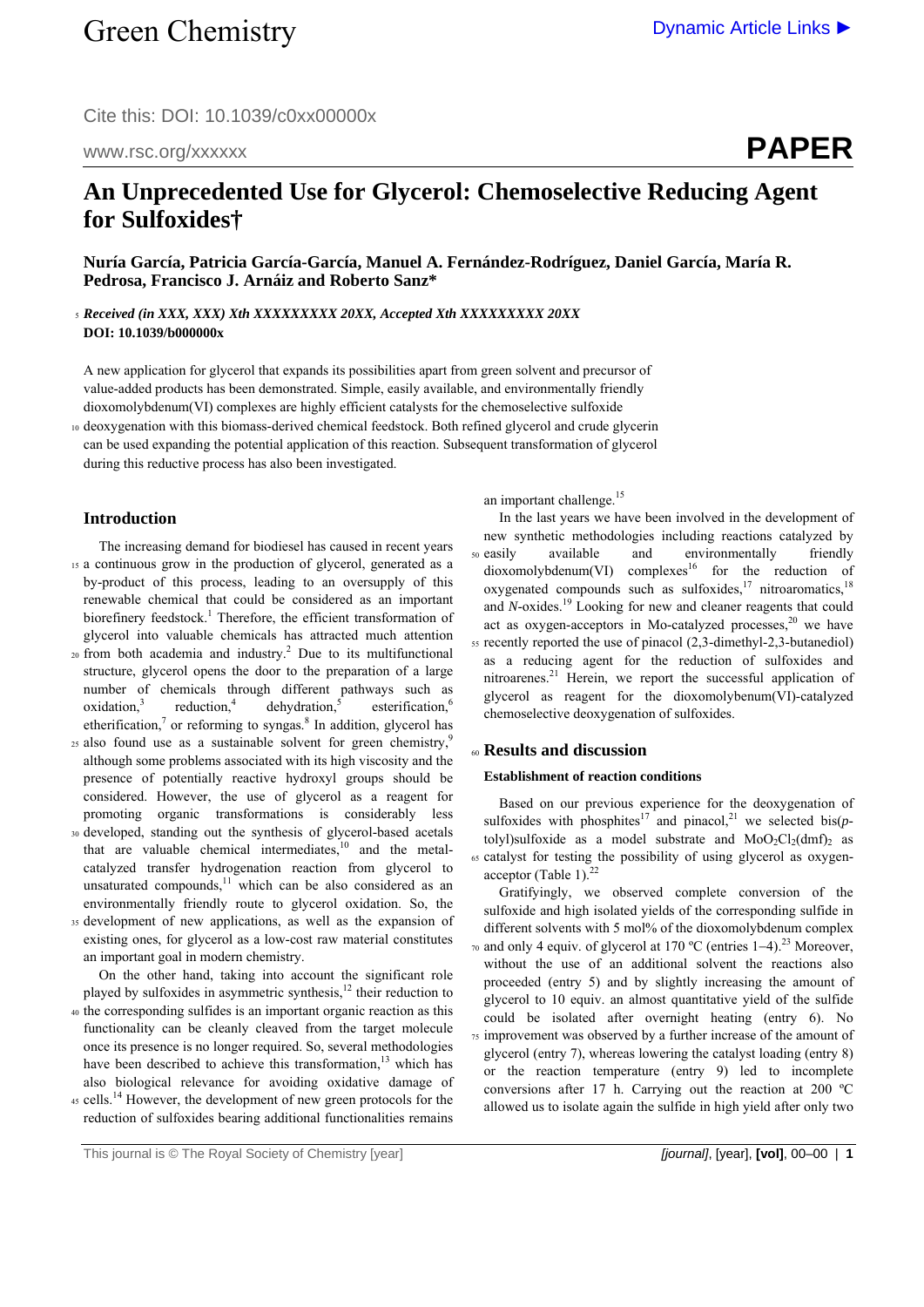Cite this: DOI: 10.1039/c0xx00000x

www.rsc.org/xxxxxx

**PAPER**

# **An Unprecedented Use for Glycerol: Chemoselective Reducing Agent for Sulfoxides†**

**Nuría García, Patricia García-García, Manuel A. Fernández-Rodríguez, Daniel García, María R. Pedrosa, Francisco J. Arnáiz and Roberto Sanz\*** 

<sup>5</sup>*Received (in XXX, XXX) Xth XXXXXXXXX 20XX, Accepted Xth XXXXXXXXX 20XX*  **DOI: 10.1039/b000000x** 

A new application for glycerol that expands its possibilities apart from green solvent and precursor of value-added products has been demonstrated. Simple, easily available, and environmentally friendly dioxomolybdenum(VI) complexes are highly efficient catalysts for the chemoselective sulfoxide

10 deoxygenation with this biomass-derived chemical feedstock. Both refined glycerol and crude glycerin can be used expanding the potential application of this reaction. Subsequent transformation of glycerol during this reductive process has also been investigated.

# **Introduction**

- The increasing demand for biodiesel has caused in recent years 15 a continuous grow in the production of glycerol, generated as a by-product of this process, leading to an oversupply of this renewable chemical that could be considered as an important biorefinery feedstock.<sup>1</sup> Therefore, the efficient transformation of glycerol into valuable chemicals has attracted much attention
- $20$  from both academia and industry.<sup>2</sup> Due to its multifunctional structure, glycerol opens the door to the preparation of a large number of chemicals through different pathways such as oxidation.<sup>3</sup> reduction.<sup>4</sup>  $de$ hydration, $\frac{5}{3}$ esterification.<sup>6</sup> etherification, $\frac{7}{1}$  or reforming to syngas.<sup>8</sup> In addition, glycerol has
- 25 also found use as a sustainable solvent for green chemistry,<sup>9</sup> although some problems associated with its high viscosity and the presence of potentially reactive hydroxyl groups should be considered. However, the use of glycerol as a reagent for promoting organic transformations is considerably less
- 30 developed, standing out the synthesis of glycerol-based acetals that are valuable chemical intermediates. $10$  and the metalcatalyzed transfer hydrogenation reaction from glycerol to unsaturated compounds, $11$  which can be also considered as an environmentally friendly route to glycerol oxidation. So, the
- 35 development of new applications, as well as the expansion of existing ones, for glycerol as a low-cost raw material constitutes an important goal in modern chemistry.

 On the other hand, taking into account the significant role played by sulfoxides in asymmetric synthesis,<sup>12</sup> their reduction to 40 the corresponding sulfides is an important organic reaction as this functionality can be cleanly cleaved from the target molecule once its presence is no longer required. So, several methodologies

also biological relevance for avoiding oxidative damage of  $45$  cells.<sup>14</sup> However, the development of new green protocols for the reduction of sulfoxides bearing additional functionalities remains

have been described to achieve this transformation,<sup>13</sup> which has

an important challenge.<sup>15</sup>

 In the last years we have been involved in the development of new synthetic methodologies including reactions catalyzed by 50 easily available and environmentally friendly  $dioxomolybdenum(VI)$  complexes<sup>16</sup> for the reduction of oxygenated compounds such as sulfoxides, $17$  nitroaromatics, $18$ and *N*-oxides.<sup>19</sup> Looking for new and cleaner reagents that could act as oxygen-acceptors in Mo-catalyzed processes, $20$  we have 55 recently reported the use of pinacol (2,3-dimethyl-2,3-butanediol) as a reducing agent for the reduction of sulfoxides and nitroarenes.<sup>21</sup> Herein, we report the successful application of glycerol as reagent for the dioxomolybenum(VI)-catalyzed chemoselective deoxygenation of sulfoxides.

## <sup>60</sup>**Results and discussion**

# **Establishment of reaction conditions**

 Based on our previous experience for the deoxygenation of sulfoxides with phosphites<sup>17</sup> and pinacol,<sup>21</sup> we selected bis( $p$ tolyl)sulfoxide as a model substrate and  $MoO<sub>2</sub>Cl<sub>2</sub>(dmf)<sub>2</sub>$  as 65 catalyst for testing the possibility of using glycerol as oxygenacceptor (Table 1). $^{22}$ 

 Gratifyingly, we observed complete conversion of the sulfoxide and high isolated yields of the corresponding sulfide in different solvents with 5 mol% of the dioxomolybdenum complex  $\alpha$  and only 4 equiv. of glycerol at 170 °C (entries 1–4).<sup>23</sup> Moreover, without the use of an additional solvent the reactions also proceeded (entry 5) and by slightly increasing the amount of glycerol to 10 equiv. an almost quantitative yield of the sulfide could be isolated after overnight heating (entry 6). No 75 improvement was observed by a further increase of the amount of glycerol (entry 7), whereas lowering the catalyst loading (entry 8) or the reaction temperature (entry 9) led to incomplete conversions after 17 h. Carrying out the reaction at 200 ºC allowed us to isolate again the sulfide in high yield after only two

This journal is © The Royal Society of Chemistry [year] *[journal]*, [year], **[vol]**, 00–00 | **1**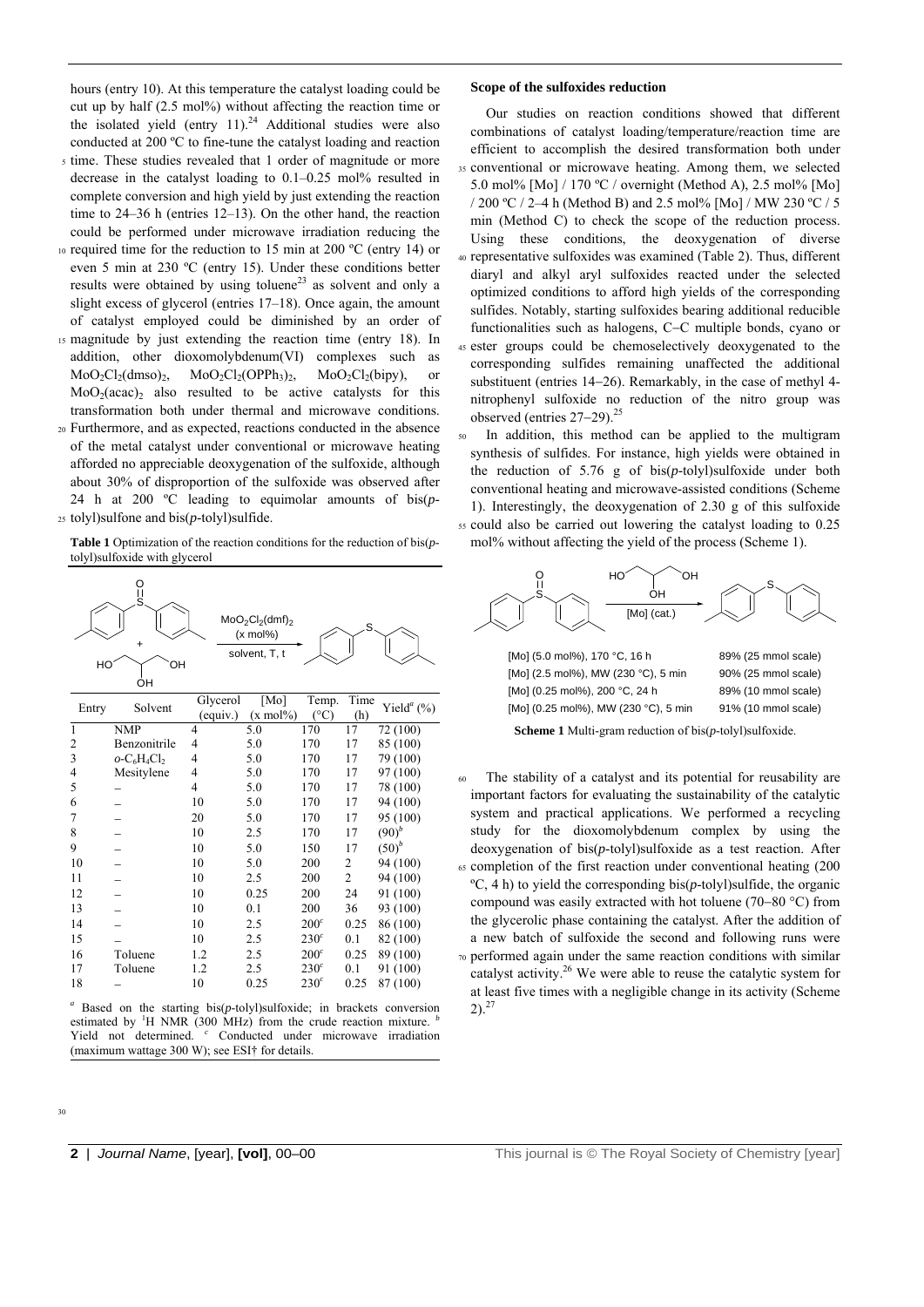hours (entry 10). At this temperature the catalyst loading could be cut up by half (2.5 mol%) without affecting the reaction time or the isolated yield (entry 11).<sup>24</sup> Additional studies were also conducted at 200 ºC to fine-tune the catalyst loading and reaction

- 5 time. These studies revealed that 1 order of magnitude or more decrease in the catalyst loading to 0.1–0.25 mol% resulted in complete conversion and high yield by just extending the reaction time to 24–36 h (entries 12–13). On the other hand, the reaction could be performed under microwave irradiation reducing the
- 10 required time for the reduction to 15 min at 200 ºC (entry 14) or even 5 min at 230 ºC (entry 15). Under these conditions better results were obtained by using toluene<sup>23</sup> as solvent and only a slight excess of glycerol (entries 17–18). Once again, the amount of catalyst employed could be diminished by an order of
- 15 magnitude by just extending the reaction time (entry 18). In addition, other dioxomolybdenum(VI) complexes such as  $MoO_2Cl_2(dmso)_2$ ,  $MoO_2Cl_2(OPPh_3)_2$ ,  $MoO_2Cl_2(bipy)$ , or  $MoO<sub>2</sub>(acac)$ <sub>2</sub> also resulted to be active catalysts for this transformation both under thermal and microwave conditions.
- 20 Furthermore, and as expected, reactions conducted in the absence of the metal catalyst under conventional or microwave heating afforded no appreciable deoxygenation of the sulfoxide, although about 30% of disproportion of the sulfoxide was observed after 24 h at 200 ºC leading to equimolar amounts of bis(*p*-25 tolyl)sulfone and bis(*p*-tolyl)sulfide.

**Table 1** Optimization of the reaction conditions for the reduction of bis(*p*tolyl)sulfoxide with glycerol



*a* Based on the starting bis(*p*-tolyl)sulfoxide; in brackets conversion estimated by <sup>1</sup>H NMR (300 MHz) from the crude reaction mixture. <sup>*b*</sup> Yield not determined. Conducted under microwave irradiation (maximum wattage 300 W); see ESI† for details.

#### **Scope of the sulfoxides reduction**

 Our studies on reaction conditions showed that different combinations of catalyst loading/temperature/reaction time are efficient to accomplish the desired transformation both under 35 conventional or microwave heating. Among them, we selected 5.0 mol% [Mo] / 170 ºC / overnight (Method A), 2.5 mol% [Mo] / 200 ºC / 2–4 h (Method B) and 2.5 mol% [Mo] / MW 230 ºC / 5 min (Method C) to check the scope of the reduction process. Using these conditions, the deoxygenation of diverse 40 representative sulfoxides was examined (Table 2). Thus, different diaryl and alkyl aryl sulfoxides reacted under the selected optimized conditions to afford high yields of the corresponding sulfides. Notably, starting sulfoxides bearing additional reducible functionalities such as halogens, C-C multiple bonds, cyano or 45 ester groups could be chemoselectively deoxygenated to the corresponding sulfides remaining unaffected the additional substituent (entries  $14-26$ ). Remarkably, in the case of methyl  $4$ nitrophenyl sulfoxide no reduction of the nitro group was observed (entries  $27-29$ ).<sup>25</sup>

In addition, this method can be applied to the multigram synthesis of sulfides. For instance, high yields were obtained in the reduction of 5.76 g of bis(*p*-tolyl)sulfoxide under both conventional heating and microwave-assisted conditions (Scheme 1). Interestingly, the deoxygenation of 2.30 g of this sulfoxide 55 could also be carried out lowering the catalyst loading to 0.25 mol% without affecting the yield of the process (Scheme 1).



**Scheme 1** Multi-gram reduction of bis(*p*-tolyl)sulfoxide.

The stability of a catalyst and its potential for reusability are important factors for evaluating the sustainability of the catalytic system and practical applications. We performed a recycling study for the dioxomolybdenum complex by using the deoxygenation of bis(*p*-tolyl)sulfoxide as a test reaction. After 65 completion of the first reaction under conventional heating (200  $\rm{°C}$ , 4 h) to yield the corresponding bis( $p$ -tolyl)sulfide, the organic compound was easily extracted with hot toluene (70–80  $^{\circ}$ C) from the glycerolic phase containing the catalyst. After the addition of a new batch of sulfoxide the second and following runs were 70 performed again under the same reaction conditions with similar catalyst activity.<sup>26</sup> We were able to reuse the catalytic system for at least five times with a negligible change in its activity (Scheme  $2)$ .<sup>27</sup>

30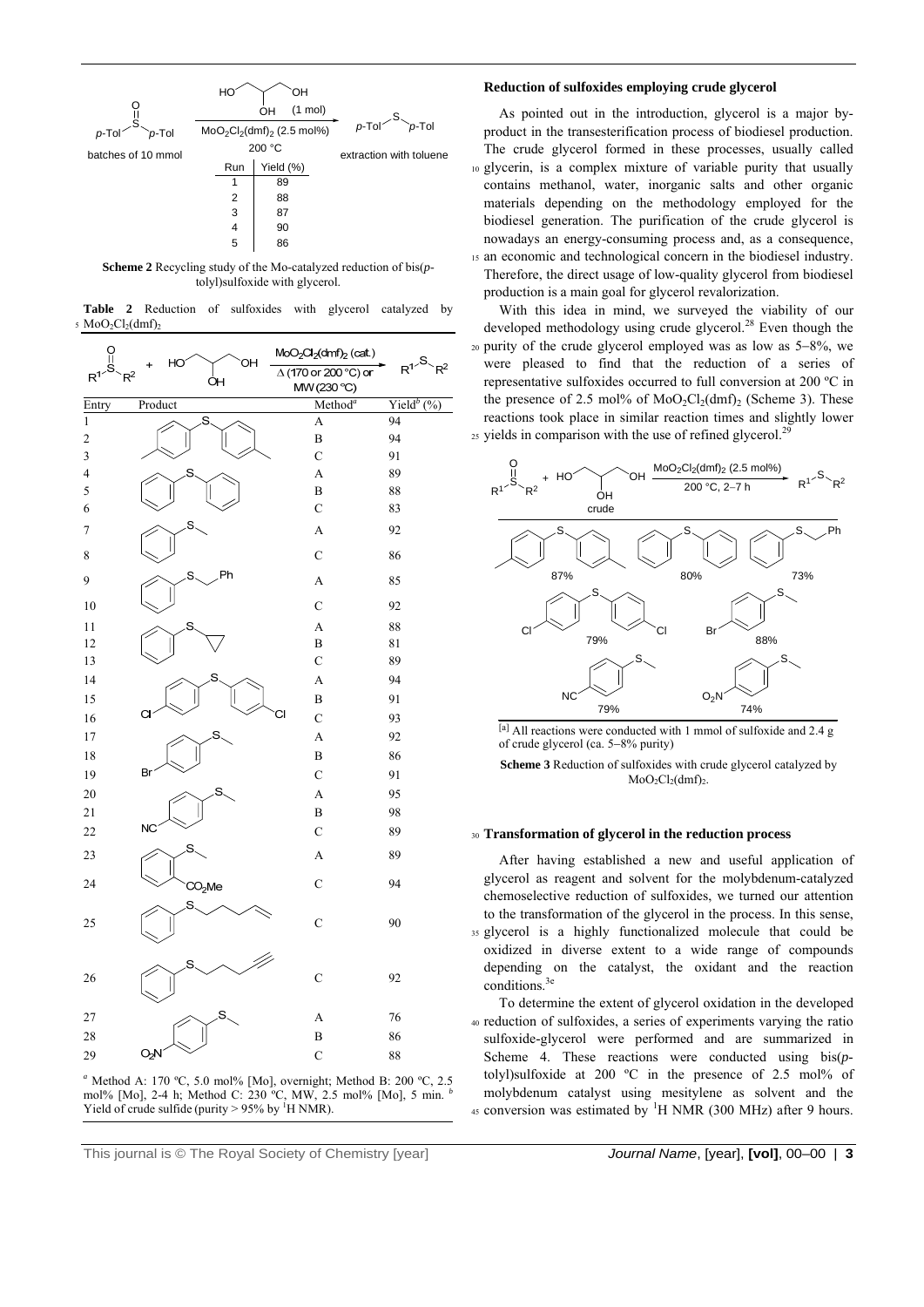

**Scheme 2** Recycling study of the Mo-catalyzed reduction of bis(*p*tolyl)sulfoxide with glycerol.

|                                          | <b>Table 2</b> Reduction of sulfoxides with glycerol catalyzed by |  |  |  |
|------------------------------------------|-------------------------------------------------------------------|--|--|--|
| $5 \text{ MoO}_2\text{Cl}_2(\text{dmf})$ |                                                                   |  |  |  |





## **Reduction of sulfoxides employing crude glycerol**

 As pointed out in the introduction, glycerol is a major byproduct in the transesterification process of biodiesel production. The crude glycerol formed in these processes, usually called 10 glycerin, is a complex mixture of variable purity that usually contains methanol, water, inorganic salts and other organic materials depending on the methodology employed for the biodiesel generation. The purification of the crude glycerol is nowadays an energy-consuming process and, as a consequence, 15 an economic and technological concern in the biodiesel industry. Therefore, the direct usage of low-quality glycerol from biodiesel production is a main goal for glycerol revalorization.

 With this idea in mind, we surveyed the viability of our developed methodology using crude glycerol.<sup>28</sup> Even though the  $20$  purity of the crude glycerol employed was as low as  $5-8\%$ , we were pleased to find that the reduction of a series of representative sulfoxides occurred to full conversion at 200 ºC in the presence of 2.5 mol% of  $MoO<sub>2</sub>Cl<sub>2</sub>(dmf)<sub>2</sub>$  (Scheme 3). These reactions took place in similar reaction times and slightly lower  $\mu$ <sub>25</sub> yields in comparison with the use of refined glycerol.<sup>26</sup>



[a] All reactions were conducted with 1 mmol of sulfoxide and 2.4 g of crude glycerol (ca. 5-8% purity)

**Scheme 3** Reduction of sulfoxides with crude glycerol catalyzed by  $MoO<sub>2</sub>Cl<sub>2</sub>(dmf)<sub>2</sub>$ .

## <sup>30</sup>**Transformation of glycerol in the reduction process**

 After having established a new and useful application of glycerol as reagent and solvent for the molybdenum-catalyzed chemoselective reduction of sulfoxides, we turned our attention to the transformation of the glycerol in the process. In this sense, 35 glycerol is a highly functionalized molecule that could be oxidized in diverse extent to a wide range of compounds depending on the catalyst, the oxidant and the reaction conditions.

 To determine the extent of glycerol oxidation in the developed 40 reduction of sulfoxides, a series of experiments varying the ratio sulfoxide-glycerol were performed and are summarized in Scheme 4. These reactions were conducted using bis(*p*tolyl)sulfoxide at 200  $^{\circ}$ C in the presence of 2.5 mol% of molybdenum catalyst using mesitylene as solvent and the 45 conversion was estimated by  ${}^{1}H$  NMR (300 MHz) after 9 hours.

This journal is © The Royal Society of Chemistry [year] *Journal Name*, [year], **[vol]**, 00–00 | **3**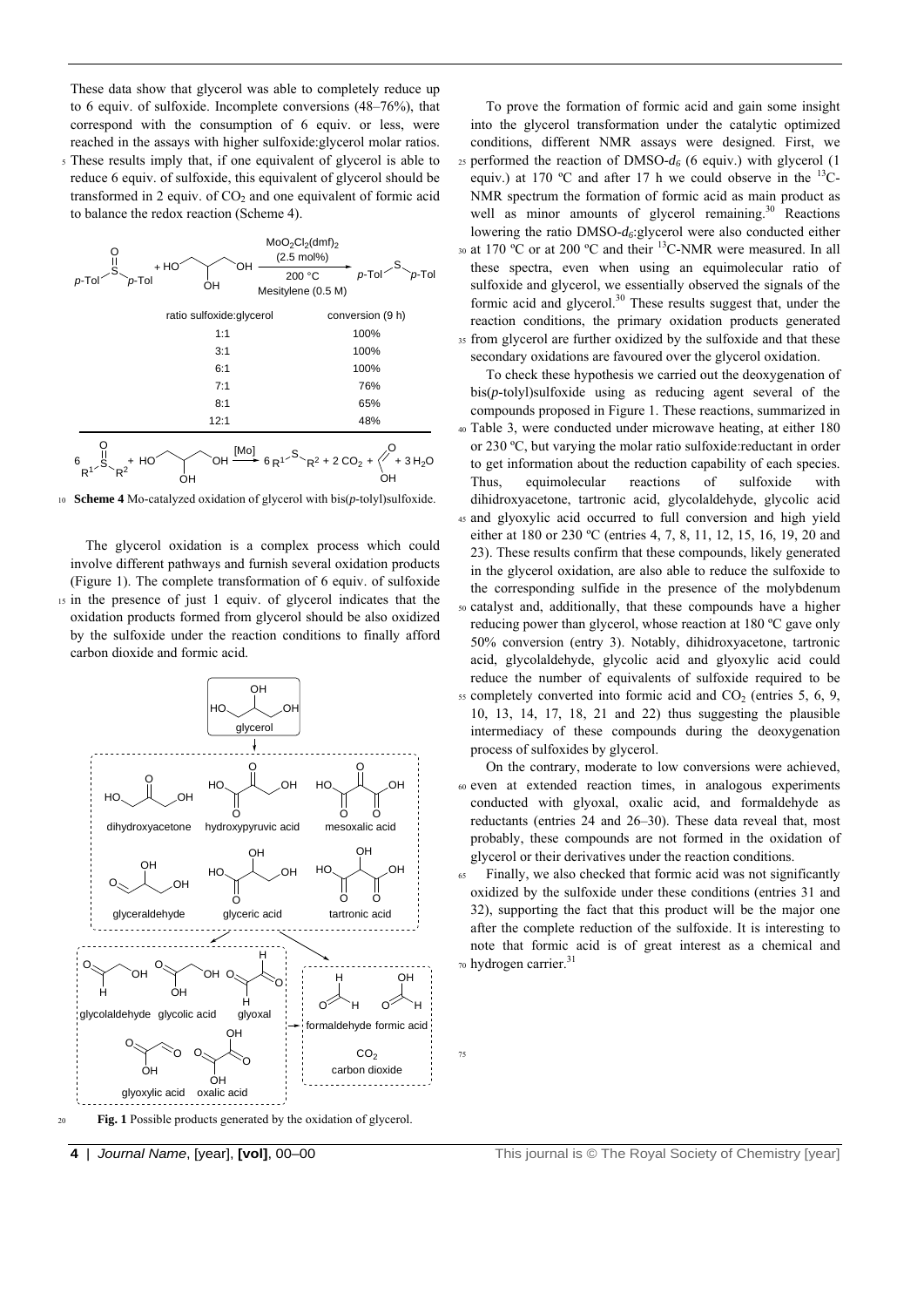These data show that glycerol was able to completely reduce up to 6 equiv. of sulfoxide. Incomplete conversions (48–76%), that correspond with the consumption of 6 equiv. or less, were reached in the assays with higher sulfoxide:glycerol molar ratios.

5 These results imply that, if one equivalent of glycerol is able to reduce 6 equiv. of sulfoxide, this equivalent of glycerol should be transformed in 2 equiv. of  $CO<sub>2</sub>$  and one equivalent of formic acid to balance the redox reaction (Scheme 4).



<sup>10</sup>**Scheme 4** Mo-catalyzed oxidation of glycerol with bis(*p*-tolyl)sulfoxide.

 The glycerol oxidation is a complex process which could involve different pathways and furnish several oxidation products (Figure 1). The complete transformation of 6 equiv. of sulfoxide 15 in the presence of just 1 equiv. of glycerol indicates that the oxidation products formed from glycerol should be also oxidized by the sulfoxide under the reaction conditions to finally afford carbon dioxide and formic acid.



<sup>20</sup>**Fig. 1** Possible products generated by the oxidation of glycerol.

 To prove the formation of formic acid and gain some insight into the glycerol transformation under the catalytic optimized conditions, different NMR assays were designed. First, we  $25$  performed the reaction of DMSO- $d_6$  (6 equiv.) with glycerol (1 equiv.) at 170 °C and after 17 h we could observe in the  $^{13}$ C-NMR spectrum the formation of formic acid as main product as well as minor amounts of glycerol remaining. $30$  Reactions lowering the ratio DMSO-*d6*:glycerol were also conducted either 30 at 170 °C or at 200 °C and their  ${}^{13}$ C-NMR were measured. In all these spectra, even when using an equimolecular ratio of sulfoxide and glycerol, we essentially observed the signals of the formic acid and glycerol.<sup>30</sup> These results suggest that, under the reaction conditions, the primary oxidation products generated 35 from glycerol are further oxidized by the sulfoxide and that these secondary oxidations are favoured over the glycerol oxidation.

 To check these hypothesis we carried out the deoxygenation of bis(*p*-tolyl)sulfoxide using as reducing agent several of the compounds proposed in Figure 1. These reactions, summarized in 40 Table 3, were conducted under microwave heating, at either 180 or 230 ºC, but varying the molar ratio sulfoxide:reductant in order to get information about the reduction capability of each species. Thus, equimolecular reactions of sulfoxide with dihidroxyacetone, tartronic acid, glycolaldehyde, glycolic acid 45 and glyoxylic acid occurred to full conversion and high yield either at 180 or 230 ºC (entries 4, 7, 8, 11, 12, 15, 16, 19, 20 and 23). These results confirm that these compounds, likely generated in the glycerol oxidation, are also able to reduce the sulfoxide to the corresponding sulfide in the presence of the molybdenum 50 catalyst and, additionally, that these compounds have a higher reducing power than glycerol, whose reaction at 180 ºC gave only 50% conversion (entry 3). Notably, dihidroxyacetone, tartronic acid, glycolaldehyde, glycolic acid and glyoxylic acid could reduce the number of equivalents of sulfoxide required to be  $55$  completely converted into formic acid and  $CO<sub>2</sub>$  (entries 5, 6, 9, 10, 13, 14, 17, 18, 21 and 22) thus suggesting the plausible intermediacy of these compounds during the deoxygenation process of sulfoxides by glycerol.

 On the contrary, moderate to low conversions were achieved, 60 even at extended reaction times, in analogous experiments conducted with glyoxal, oxalic acid, and formaldehyde as reductants (entries 24 and 26–30). These data reveal that, most probably, these compounds are not formed in the oxidation of glycerol or their derivatives under the reaction conditions.

Finally, we also checked that formic acid was not significantly oxidized by the sulfoxide under these conditions (entries 31 and 32), supporting the fact that this product will be the major one after the complete reduction of the sulfoxide. It is interesting to note that formic acid is of great interest as a chemical and  $\frac{1}{70}$  hydrogen carrier.<sup>31</sup>

75

**4** | *Journal Name*, [year], **[vol]**, 00–00 This journal is © The Royal Society of Chemistry [year]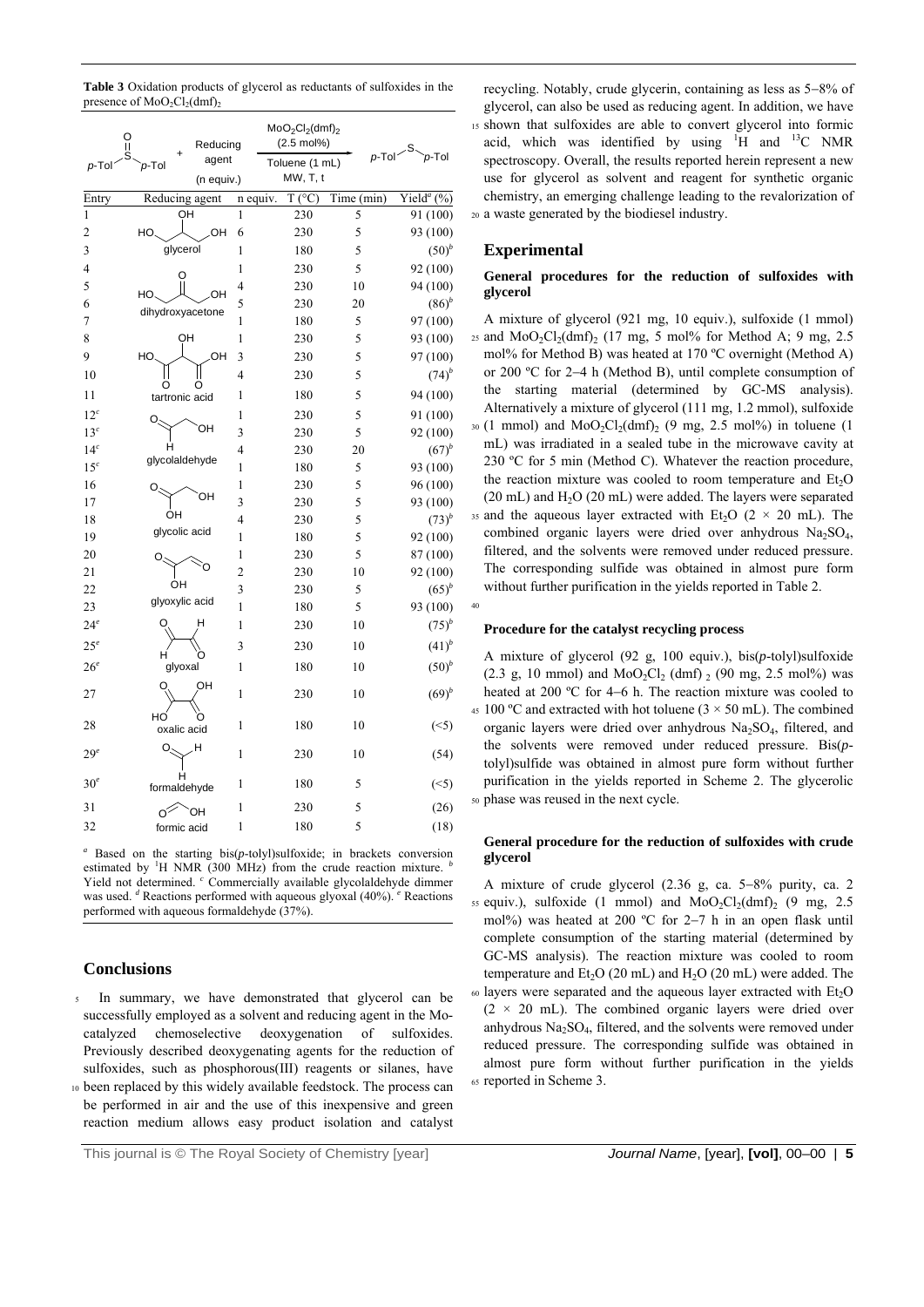**Table 3** Oxidation products of glycerol as reductants of sulfoxides in the presence of  $MoO<sub>2</sub>Cl<sub>2</sub>(dmf)$ <sub>2</sub>

| ဂူ<br>p-Tol     | Reducing<br>agent<br>p-Tol | $MoO2Cl2(dmf)2$<br>$(2.5 \text{ mol%)}$<br>Toluene (1 mL) |                 | $p$ -Tol $\sim$ S | $p$ -Tol                  |  |
|-----------------|----------------------------|-----------------------------------------------------------|-----------------|-------------------|---------------------------|--|
|                 | (n equiv.)                 |                                                           | MW, T, t        |                   |                           |  |
| Entry           | Reducing agent             | n equiv.                                                  | $T (^{\circ}C)$ | Time (min)        | Yield <sup>a</sup> $(\%)$ |  |
| $\mathbf{1}$    | OН                         | 1                                                         | 230             | 5                 | 91 (100)                  |  |
| $\overline{c}$  | HO<br>OH                   | 6                                                         | 230             | 5                 | 93 (100)                  |  |
| 3               | glycerol                   | 1                                                         | 180             | 5                 | $(50)^{b}$                |  |
| 4               | O                          | $\mathbf{1}$                                              | 230             | 5                 | 92 (100)                  |  |
| 5               | HO.<br>OН                  | 4                                                         | 230             | 10                | 94 (100)                  |  |
| 6               | dihydroxyacetone           | 5                                                         | 230             | 20                | $(86)^{b}$                |  |
| 7               |                            | 1                                                         | 180             | 5                 | 97 (100)                  |  |
| 8               | OH                         | 1                                                         | 230             | 5                 | 93 (100)                  |  |
| 9               | OН<br>HO.                  | 3                                                         | 230             | 5                 | 97 (100)                  |  |
| 10              | O<br>O                     | 4                                                         | 230             | 5                 | $(74)^b$                  |  |
| 11              | tartronic acid             | $\mathbf{1}$                                              | 180             | 5                 | 94 (100)                  |  |
| 12 <sup>c</sup> |                            | 1                                                         | 230             | 5                 | 91 (100)                  |  |
| 13 <sup>c</sup> | OН                         | 3                                                         | 230             | 5                 | 92 (100)                  |  |
| 14 <sup>c</sup> | н                          | 4                                                         | 230             | 20                | $(67)^{b}$                |  |
| 15 <sup>c</sup> | glycolaldehyde             | 1                                                         | 180             | 5                 | 93 (100)                  |  |
| 16              |                            | $\mathbf{1}$                                              | 230             | 5                 | 96 (100)                  |  |
| 17              | OН                         | 3                                                         | 230             | 5                 | 93 (100)                  |  |
| 18              | OН                         | 4                                                         | 230             | 5                 | $(73)^{b}$                |  |
| 19              | glycolic acid              | 1                                                         | 180             | 5                 | 92 (100)                  |  |
| 20              |                            | 1                                                         | 230             | 5                 | 87 (100)                  |  |
| 21              |                            | $\overline{2}$                                            | 230             | 10                | 92 (100)                  |  |
| 22              | OН                         | 3                                                         | 230             | 5                 | $(65)^{b}$                |  |
| 23              | glyoxylic acid             | 1                                                         | 180             | 5                 | 93 (100)                  |  |
| $24^e$          | н                          | 1                                                         | 230             | 10                | $(75)^{b}$                |  |
| $25^e$          |                            | 3                                                         | 230             | 10                | $(41)^{b}$                |  |
| $26^e$          | glyoxal                    | 1                                                         | 180             | 10                | $(50)^{b}$                |  |
| 27              | OH                         | $\mathbf{1}$                                              | 230             | 10                | $(69)^{b}$                |  |
| 28              | HO<br>oxalic acid          | $\mathbf{1}$                                              | 180             | 10                | $(\leq 5)$                |  |
| $29^e$          | н                          | 1                                                         | 230             | 10                | (54)                      |  |
| 30 <sup>e</sup> | н<br>formaldehyde          | $\mathbf{1}$                                              | 180             | 5                 | $(\leq 5)$                |  |
| 31              | ЮH<br>⊘∕                   | 1                                                         | 230             | 5                 | (26)                      |  |
| 32              | formic acid                | 1                                                         | 180             | 5                 | (18)                      |  |

*a* Based on the starting bis(*p*-tolyl)sulfoxide; in brackets conversion estimated by <sup>1</sup>H NMR (300 MHz) from the crude reaction mixture.  $<sup>b</sup>$ </sup> Yield not determined. <sup>c</sup> Commercially available glycolaldehyde dimmer was used. <sup>*d*</sup> Reactions performed with aqueous glyoxal (40%). <sup>*e*</sup> Reactions performed with aqueous formaldehyde (37%).

# **Conclusions**

- In summary, we have demonstrated that glycerol can be successfully employed as a solvent and reducing agent in the Mocatalyzed chemoselective deoxygenation of sulfoxides. Previously described deoxygenating agents for the reduction of sulfoxides, such as phosphorous(III) reagents or silanes, have
- 10 been replaced by this widely available feedstock. The process can be performed in air and the use of this inexpensive and green reaction medium allows easy product isolation and catalyst

recycling. Notably, crude glycerin, containing as less as  $5-8\%$  of glycerol, can also be used as reducing agent. In addition, we have 15 shown that sulfoxides are able to convert glycerol into formic acid, which was identified by using  $H$  and  $H^3C$  NMR spectroscopy. Overall, the results reported herein represent a new use for glycerol as solvent and reagent for synthetic organic chemistry, an emerging challenge leading to the revalorization of 20 a waste generated by the biodiesel industry.

# **Experimental**

## **General procedures for the reduction of sulfoxides with glycerol**

A mixture of glycerol (921 mg, 10 equiv.), sulfoxide (1 mmol) 25 and  $MoO<sub>2</sub>Cl<sub>2</sub>(dmf)<sub>2</sub>$  (17 mg, 5 mol% for Method A; 9 mg, 2.5 mol% for Method B) was heated at 170 ºC overnight (Method A) or 200 ºC for 24 h (Method B), until complete consumption of the starting material (determined by GC-MS analysis). Alternatively a mixture of glycerol (111 mg, 1.2 mmol), sulfoxide  $30$  (1 mmol) and MoO<sub>2</sub>Cl<sub>2</sub>(dmf)<sub>2</sub> (9 mg, 2.5 mol%) in toluene (1 mL) was irradiated in a sealed tube in the microwave cavity at 230 ºC for 5 min (Method C). Whatever the reaction procedure, the reaction mixture was cooled to room temperature and  $Et<sub>2</sub>O$  $(20 \text{ mL})$  and  $H<sub>2</sub>O$   $(20 \text{ mL})$  were added. The layers were separated 35 and the aqueous layer extracted with Et<sub>2</sub>O ( $2 \times 20$  mL). The combined organic layers were dried over anhydrous Na<sub>2</sub>SO<sub>4</sub>, filtered, and the solvents were removed under reduced pressure. The corresponding sulfide was obtained in almost pure form without further purification in the yields reported in Table 2.



#### **Procedure for the catalyst recycling process**

A mixture of glycerol (92 g, 100 equiv.), bis(*p*-tolyl)sulfoxide (2.3 g, 10 mmol) and  $MoO_2Cl_2$  (dmf)  $_2$  (90 mg, 2.5 mol%) was heated at 200  $^{\circ}$ C for 4–6 h. The reaction mixture was cooled to  $45 \times 100$  °C and extracted with hot toluene (3  $\times$  50 mL). The combined organic layers were dried over anhydrous  $Na<sub>2</sub>SO<sub>4</sub>$ , filtered, and the solvents were removed under reduced pressure. Bis(*p*tolyl)sulfide was obtained in almost pure form without further purification in the yields reported in Scheme 2. The glycerolic 50 phase was reused in the next cycle.

## **General procedure for the reduction of sulfoxides with crude glycerol**

A mixture of crude glycerol  $(2.36 \text{ g}, \text{ ca. } 5-8\% \text{ purity}, \text{ ca. } 2)$ 55 equiv.), sulfoxide (1 mmol) and  $MoO<sub>2</sub>Cl<sub>2</sub>(dmf)<sub>2</sub>$  (9 mg, 2.5 mol%) was heated at 200 °C for 2-7 h in an open flask until complete consumption of the starting material (determined by GC-MS analysis). The reaction mixture was cooled to room temperature and  $Et<sub>2</sub>O$  (20 mL) and  $H<sub>2</sub>O$  (20 mL) were added. The

 $60$  layers were separated and the aqueous layer extracted with  $Et<sub>2</sub>O$  $(2 \times 20$  mL). The combined organic layers were dried over anhydrous  $Na<sub>2</sub>SO<sub>4</sub>$ , filtered, and the solvents were removed under reduced pressure. The corresponding sulfide was obtained in almost pure form without further purification in the yields 65 reported in Scheme 3.

This journal is © The Royal Society of Chemistry [year] *Journal Name*, [year], **[vol]**, 00–00 | **5**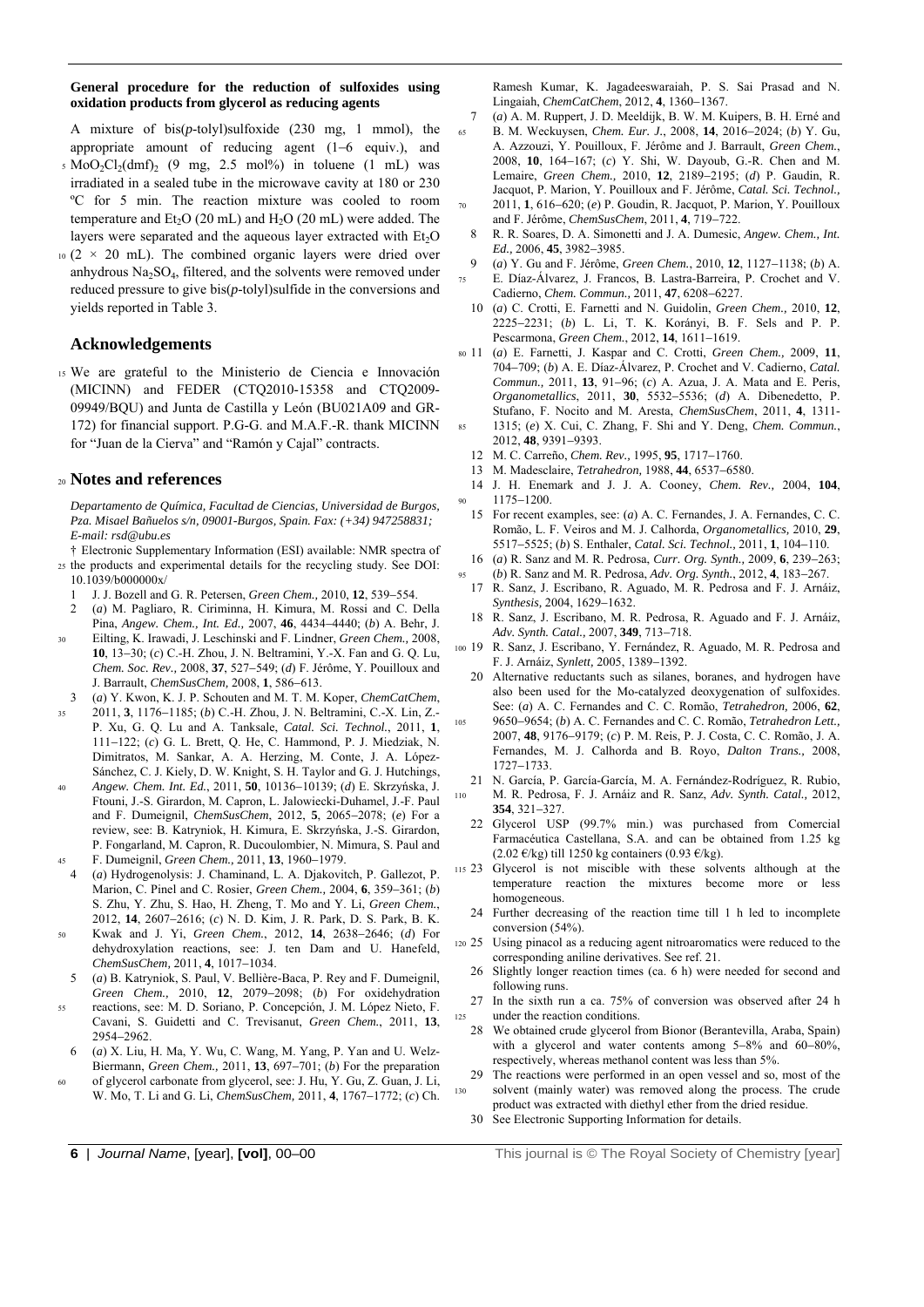#### **General procedure for the reduction of sulfoxides using oxidation products from glycerol as reducing agents**

A mixture of bis(*p*-tolyl)sulfoxide (230 mg, 1 mmol), the appropriate amount of reducing agent  $(1-6 \text{equiv.})$ , and

- $5 \text{ MoO}_2Cl_2(dmf)$ ,  $(9 \text{ mg}, 2.5 \text{ mol})$  in toluene  $(1 \text{ mL})$  was irradiated in a sealed tube in the microwave cavity at 180 or 230 ºC for 5 min. The reaction mixture was cooled to room temperature and  $Et<sub>2</sub>O$  (20 mL) and  $H<sub>2</sub>O$  (20 mL) were added. The layers were separated and the aqueous layer extracted with  $Et<sub>2</sub>O$
- $10 (2 \times 20 \text{ mL})$ . The combined organic layers were dried over anhydrous Na<sub>2</sub>SO<sub>4</sub>, filtered, and the solvents were removed under reduced pressure to give bis(*p*-tolyl)sulfide in the conversions and yields reported in Table 3.

## **Acknowledgements**

15 We are grateful to the Ministerio de Ciencia e Innovación (MICINN) and FEDER (CTQ2010-15358 and CTQ2009- 09949/BQU) and Junta de Castilla y León (BU021A09 and GR-172) for financial support. P.G-G. and M.A.F.-R. thank MICINN for "Juan de la Cierva" and "Ramón y Cajal" contracts.

## <sup>20</sup>**Notes and references**

*Departamento de Química, Facultad de Ciencias, Universidad de Burgos, Pza. Misael Bañuelos s/n, 09001-Burgos, Spain. Fax: (+34) 947258831; E-mail: rsd@ubu.es* 

† Electronic Supplementary Information (ESI) available: NMR spectra of 25 the products and experimental details for the recycling study. See DOI: 10.1039/b000000x/

- 1 J. J. Bozell and G. R. Petersen, *Green Chem.*, 2010, 12, 539-554.
- 2 (*a*) M. Pagliaro, R. Ciriminna, H. Kimura, M. Rossi and C. Della Pina. *Angew. Chem., Int. Ed.*, 2007, 46, 4434-4440; (b) A. Behr, J.
- 30 Eilting, K. Irawadi, J. Leschinski and F. Lindner, *Green Chem.,* 2008, **10**, 13-30; (*c*) C.-H. Zhou, J. N. Beltramini, Y.-X. Fan and G. Q. Lu, *Chem. Soc. Rev.,* 2008, **37**, 527549; (*d*) F. Jérôme, Y. Pouilloux and J. Barrault, *ChemSusChem*, 2008, 1, 586-613.
- 3 (*a*) Y. Kwon, K. J. P. Schouten and M. T. M. Koper, *ChemCatChem*,
- 2011, 3, 1176-1185; (b) C.-H. Zhou, J. N. Beltramini, C.-X. Lin, Z.-P. Xu, G. Q. Lu and A. Tanksale, *Catal. Sci. Technol.*, 2011, **1**, 111122; (*c*) G. L. Brett, Q. He, C. Hammond, P. J. Miedziak, N. Dimitratos, M. Sankar, A. A. Herzing, M. Conte, J. A. López-Sánchez, C. J. Kiely, D. W. Knight, S. H. Taylor and G. J. Hutchings,
- <sup>40</sup>*Angew. Chem. Int. Ed.*, 2011, **50**, 1013610139; (*d*) E. Skrzyńska, J. Ftouni, J.-S. Girardon, M. Capron, L. Jalowiecki-Duhamel, J.-F. Paul and F. Dumeignil, *ChemSusChem*, 2012, 5, 2065-2078; (*e*) For a review, see: B. Katryniok, H. Kimura, E. Skrzyńska, J.-S. Girardon, P. Fongarland, M. Capron, R. Ducoulombier, N. Mimura, S. Paul and 45 F. Dumeignil, *Green Chem.*, 2011, **13**, 1960–1979.
- 4 (*a*) Hydrogenolysis: J. Chaminand, L. A. Djakovitch, P. Gallezot, P. Marion, C. Pinel and C. Rosier, *Green Chem.*, 2004, 6, 359-361; (*b*) S. Zhu, Y. Zhu, S. Hao, H. Zheng, T. Mo and Y. Li, *Green Chem.*, 2012, 14, 2607-2616; (c) N. D. Kim, J. R. Park, D. S. Park, B. K.
- 50 Kwak and J. Yi, *Green Chem.*, 2012, 14, 2638-2646; (d) For dehydroxylation reactions, see: J. ten Dam and U. Hanefeld, *ChemSusChem, 2011, 4, 1017-1034.*
- 5 (*a*) B. Katryniok, S. Paul, V. Bellière-Baca, P. Rey and F. Dumeignil, *Green Chem.,* 2010, 12, 2079-2098; (*b*) For oxidehydration
- 55 reactions, see: M. D. Soriano, P. Concepción, J. M. López Nieto, F. Cavani, S. Guidetti and C. Trevisanut, *Green Chem.*, 2011, **13**, 2954-2962.
- 6 (*a*) X. Liu, H. Ma, Y. Wu, C. Wang, M. Yang, P. Yan and U. Welz-Biermann, *Green Chem.*, 2011, 13, 697–701; (*b*) For the preparation
- 60 of glycerol carbonate from glycerol, see: J. Hu, Y. Gu, Z. Guan, J. Li, W. Mo, T. Li and G. Li, *ChemSusChem*, 2011, 4, 1767-1772; (*c*) Ch.

Ramesh Kumar, K. Jagadeeswaraiah, P. S. Sai Prasad and N. Lingaiah, *ChemCatChem*, 2012, 4, 1360-1367.

- 7 (*a*) A. M. Ruppert, J. D. Meeldijk, B. W. M. Kuipers, B. H. Erné and 65 B. M. Weckuysen, *Chem. Eur. J.*, 2008, **14**, 20162024; (*b*) Y. Gu, A. Azzouzi, Y. Pouilloux, F. Jérôme and J. Barrault, *Green Chem.*, 2008, 10, 164-167; (c) Y. Shi, W. Dayoub, G.-R. Chen and M. Lemaire, *Green Chem.*, 2010, 12, 2189-2195; (d) P. Gaudin, R. Jacquot, P. Marion, Y. Pouilloux and F. Jérôme, *Catal. Sci. Technol.,* 2011, **1**, 616–620; (*e*) P. Goudin, R. Jacquot, P. Marion, Y. Pouilloux and F. Jérôme, *ChemSusChem*, 2011, 4, 719-722.
- 8 R. R. Soares, D. A. Simonetti and J. A. Dumesic, *Angew. Chem., Int. Ed.*, 2006, 45, 3982-3985.
- 9 (*a*) Y. Gu and F. Jérôme, *Green Chem.*, 2010, **12**, 11271138; (*b*) A.
- 75 E. Díaz-Álvarez, J. Francos, B. Lastra-Barreira, P. Crochet and V. Cadierno, *Chem. Commun.*, 2011, 47, 6208-6227.
- 10 (*a*) C. Crotti, E. Farnetti and N. Guidolin, *Green Chem.,* 2010, **12**, 22252231; (*b*) L. Li, T. K. Korányi, B. F. Sels and P. P. Pescarmona, *Green Chem.*, 2012, 14, 1611-1619.
- 80 11 (*a*) E. Farnetti, J. Kaspar and C. Crotti, *Green Chem.,* 2009, **11**, 704709; (*b*) A. E. Díaz-Álvarez, P. Crochet and V. Cadierno, *Catal. Commun.,* 2011, 13, 91-96; (c) A. Azua, J. A. Mata and E. Peris, *Organometallics*, 2011, 30, 5532-5536; (*d*) A. Dibenedetto, P. Stufano, F. Nocito and M. Aresta, *ChemSusChem*, 2011, **4**, 1311- 85 1315; (*e*) X. Cui, C. Zhang, F. Shi and Y. Deng, *Chem. Commun.*, 2012, 48, 9391-9393.
- 12 M. C. Carreño, *Chem. Rev.*, 1995, 95, 1717-1760.
- 13 M. Madesclaire, *Tetrahedron*, 1988, 44, 6537-6580.
- 14 J. H. Enemark and J. J. A. Cooney, *Chem. Rev.,* 2004, **104**, 90 1175-1200.
- 15 For recent examples, see: (*a*) A. C. Fernandes, J. A. Fernandes, C. C. Romão, L. F. Veiros and M. J. Calhorda, *Organometallics,* 2010, **29**, 5517-5525; (*b*) S. Enthaler, *Catal. Sci. Technol.*, 2011, 1, 104-110.
- 16 (*a*) R. Sanz and M. R. Pedrosa, *Curr. Org. Synth.*, 2009, 6, 239-263; 95 (*b*) R. Sanz and M. R. Pedrosa, *Adv. Org. Synth.*, 2012, 4, 183–267.
	- 17 R. Sanz, J. Escribano, R. Aguado, M. R. Pedrosa and F. J. Arnáiz, *Synthesis,* 2004, 1629-1632.
	- 18 R. Sanz, J. Escribano, M. R. Pedrosa, R. Aguado and F. J. Arnáiz, *Adv. Synth. Catal., 2007, 349, 713-718.*
- 100 19 R. Sanz, J. Escribano, Y. Fernández, R. Aguado, M. R. Pedrosa and F. J. Arnáiz, *Synlett*, 2005, 1389-1392.
	- 20 Alternative reductants such as silanes, boranes, and hydrogen have also been used for the Mo-catalyzed deoxygenation of sulfoxides. See: (*a*) A. C. Fernandes and C. C. Romão, *Tetrahedron,* 2006, **62**,
- 105 96509654; (*b*) A. C. Fernandes and C. C. Romão, *Tetrahedron Lett.,* 2007, 48, 9176-9179; (c) P. M. Reis, P. J. Costa, C. C. Romão, J. A. Fernandes, M. J. Calhorda and B. Royo, *Dalton Trans.,* 2008, 1727-1733
	- 21 N. García, P. García-García, M. A. Fernández-Rodríguez, R. Rubio,
- 110 M. R. Pedrosa, F. J. Arnáiz and R. Sanz, *Adv. Synth. Catal.,* 2012, **354**, 321-327.
	- 22 Glycerol USP (99.7% min.) was purchased from Comercial Farmacéutica Castellana, S.A. and can be obtained from 1.25 kg (2.02 €/kg) till 1250 kg containers (0.93 €/kg).
- 115 23 Glycerol is not miscible with these solvents although at the temperature reaction the mixtures become more or less homogeneous.
	- 24 Further decreasing of the reaction time till 1 h led to incomplete conversion (54%).
- 120 25 Using pinacol as a reducing agent nitroaromatics were reduced to the corresponding aniline derivatives. See ref. 21.
	- 26 Slightly longer reaction times (ca. 6 h) were needed for second and following runs.
- 27 In the sixth run a ca. 75% of conversion was observed after 24 h 125 under the reaction conditions.
- 28 We obtained crude glycerol from Bionor (Berantevilla, Araba, Spain) with a glycerol and water contents among  $5-8\%$  and  $60-80\%$ , respectively, whereas methanol content was less than 5%.
- 29 The reactions were performed in an open vessel and so, most of the 130 solvent (mainly water) was removed along the process. The crude product was extracted with diethyl ether from the dried residue.
	- 30 See Electronic Supporting Information for details.

**6** | *Journal Name*, [year], **[vol]**, 00–00 **This journal is © The Royal Society of Chemistry [year]**